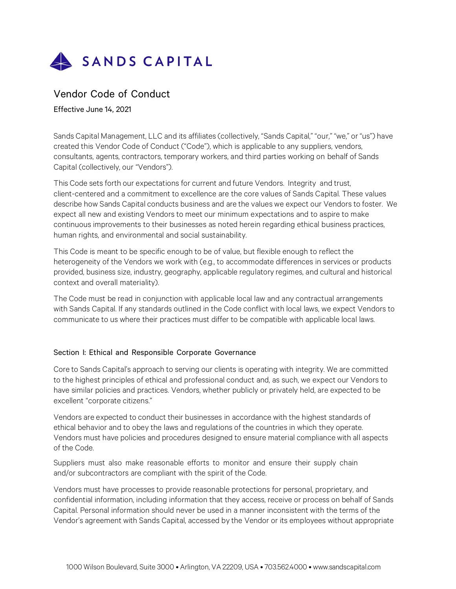

# Vendor Code of Conduct

Effective June 14, 2021

Sands Capital Management, LLC and its affiliates (collectively, "Sands Capital," "our," "we," or "us") have created this Vendor Code of Conduct ("Code"), which is applicable to any suppliers, vendors, consultants, agents, contractors, temporary workers, and third parties working on behalf of Sands Capital (collectively, our "Vendors").

This Code sets forth our expectations for current and future Vendors. Integrity and trust, client-centered and a commitment to excellence are the core values of Sands Capital. These values describe how Sands Capital conducts business and are the values we expect our Vendors to foster. We expect all new and existing Vendors to meet our minimum expectations and to aspire to make continuous improvements to their businesses as noted herein regarding ethical business practices, human rights, and environmental and social sustainability.

This Code is meant to be specific enough to be of value, but flexible enough to reflect the heterogeneity of the Vendors we work with (e.g., to accommodate differences in services or products provided, business size, industry, geography, applicable regulatory regimes, and cultural and historical context and overall materiality).

The Code must be read in conjunction with applicable local law and any contractual arrangements with Sands Capital. If any standards outlined in the Code conflict with local laws, we expect Vendors to communicate to us where their practices must differ to be compatible with applicable local laws.

### Section I: Ethical and Responsible Corporate Governance

Core to Sands Capital's approach to serving our clients is operating with integrity. We are committed to the highest principles of ethical and professional conduct and, as such, we expect our Vendors to have similar policies and practices. Vendors, whether publicly or privately held, are expected to be excellent "corporate citizens."

Vendors are expected to conduct their businesses in accordance with the highest standards of ethical behavior and to obey the laws and regulations of the countries in which they operate. Vendors must have policies and procedures designed to ensure material compliance with all aspects of the Code.

Suppliers must also make reasonable efforts to monitor and ensure their supply chain and/or subcontractors are compliant with the spirit of the Code.

Vendors must have processes to provide reasonable protections for personal, proprietary, and confidential information, including information that they access, receive or process on behalf of Sands Capital. Personal information should never be used in a manner inconsistent with the terms of the Vendor's agreement with Sands Capital, accessed by the Vendor or its employees without appropriate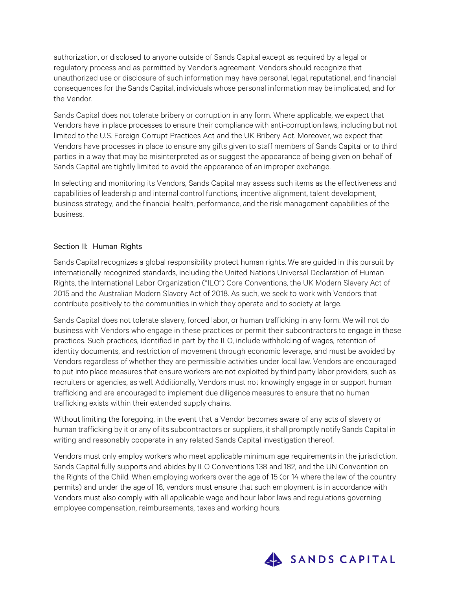authorization, or disclosed to anyone outside of Sands Capital except as required by a legal or regulatory process and as permitted by Vendor's agreement. Vendors should recognize that unauthorized use or disclosure of such information may have personal, legal, reputational, and financial consequences for the Sands Capital, individuals whose personal information may be implicated, and for the Vendor.

Sands Capital does not tolerate bribery or corruption in any form. Where applicable, we expect that Vendors have in place processes to ensure their compliance with anti-corruption laws, including but not limited to the U.S. Foreign Corrupt Practices Act and the UK Bribery Act. Moreover, we expect that Vendors have processes in place to ensure any gifts given to staff members of Sands Capital or to third parties in a way that may be misinterpreted as or suggest the appearance of being given on behalf of Sands Capital are tightly limited to avoid the appearance of an improper exchange.

In selecting and monitoring its Vendors, Sands Capital may assess such items as the effectiveness and capabilities of leadership and internal control functions, incentive alignment, talent development, business strategy, and the financial health, performance, and the risk management capabilities of the business.

## Section II: Human Rights

Sands Capital recognizes a global responsibility protect human rights. We are guided in this pursuit by internationally recognized standards, including the United Nations Universal Declaration of Human Rights, the International Labor Organization ("ILO") Core Conventions, the UK Modern Slavery Act of 2015 and the Australian Modern Slavery Act of 2018. As such, we seek to work with Vendors that contribute positively to the communities in which they operate and to society at large.

Sands Capital does not tolerate slavery, forced labor, or human trafficking in any form. We will not do business with Vendors who engage in these practices or permit their subcontractors to engage in these practices. Such practices, identified in part by the ILO, include withholding of wages, retention of identity documents, and restriction of movement through economic leverage, and must be avoided by Vendors regardless of whether they are permissible activities under local law. Vendors are encouraged to put into place measures that ensure workers are not exploited by third party labor providers, such as recruiters or agencies, as well. Additionally, Vendors must not knowingly engage in or support human trafficking and are encouraged to implement due diligence measures to ensure that no human trafficking exists within their extended supply chains.

Without limiting the foregoing, in the event that a Vendor becomes aware of any acts of slavery or human trafficking by it or any of itssubcontractors or suppliers, it shall promptly notify Sands Capital in writing and reasonably cooperate in any related Sands Capital investigation thereof.

Vendors must only employ workers who meet applicable minimum age requirements in the jurisdiction. Sands Capital fully supports and abides by ILO Conventions 138 and 182, and the UN Convention on the Rights of the Child. When employing workers over the age of 15 (or 14 where the law of the country permits) and under the age of 18, vendors must ensure that such employment is in accordance with Vendors must also comply with all applicable wage and hour labor laws and regulations governing employee compensation, reimbursements, taxes and working hours.

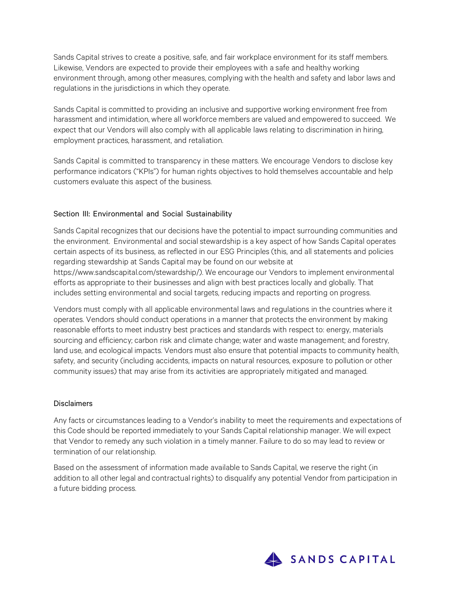Sands Capital strives to create a positive, safe, and fair workplace environment for its staff members. Likewise, Vendors are expected to provide their employees with a safe and healthy working environment through, among other measures, complying with the health and safety and labor laws and regulations in the jurisdictions in which they operate.

Sands Capital is committed to providing an inclusive and supportive working environment free from harassment and intimidation, where all workforce members are valued and empowered to succeed. We expect that our Vendors will also comply with all applicable laws relating to discrimination in hiring, employment practices, harassment, and retaliation.

Sands Capital is committed to transparency in these matters. We encourage Vendors to disclose key performance indicators ("KPIs") for human rights objectives to hold themselves accountable and help customers evaluate this aspect of the business.

## Section III: Environmental and Social Sustainability

Sands Capital recognizes that our decisions have the potential to impact surrounding communities and the environment. Environmental and social stewardship is a key aspect of how Sands Capital operates certain aspects of its business, as reflected in our ESG Principles (this, and all statements and policies regarding stewardship at Sands Capital may be found on our website at https:[//www.sandscapital.com/stewardship/\). W](http://www.sandscapital.com/stewardship/))e encourage our Vendors to implement environmental efforts as appropriate to their businesses and align with best practices locally and globally. That includes setting environmental and social targets, reducing impacts and reporting on progress.

Vendors must comply with all applicable environmental laws and regulations in the countries where it operates. Vendors should conduct operations in a manner that protects the environment by making reasonable efforts to meet industry best practices and standards with respect to: energy, materials sourcing and efficiency; carbon risk and climate change; water and waste management; and forestry, land use, and ecological impacts. Vendors must also ensure that potential impacts to community health, safety, and security (including accidents, impacts on natural resources, exposure to pollution or other community issues) that may arise from its activities are appropriately mitigated and managed.

### **Disclaimers**

Any facts or circumstances leading to a Vendor's inability to meet the requirements and expectations of this Code should be reported immediately to your Sands Capital relationship manager. We will expect that Vendor to remedy any such violation in a timely manner. Failure to do so may lead to review or termination of our relationship.

Based on the assessment of information made available to Sands Capital, we reserve the right (in addition to all other legal and contractual rights) to disqualify any potential Vendor from participation in a future bidding process.